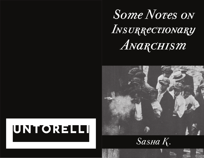*Some Notes on Insurrectionary Anarchism*





# UNTORELLI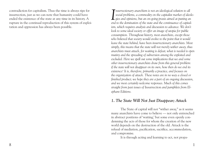contradiction for capitalism. Thus the time is always ripe for insurrection, just as we can note that humanity could have ended the existence of the state at any time in its history. A rupture in the continual reproduction of this system of exploitation and oppression has always been possible.

*I nsurrectionary anarchism is not an ideological solution to all social problems, a commodity on the capitalist market of ideologies and opinions, but an on-going praxis aimed at putting an end to the domination of the state and the continuance of capitalism, which requires analysis and discussion to advance. We don't look to some ideal society or offer an image of utopia for public consumption. Throughout history, most anarchists, except those who believed that society would evolve to the point that it would leave the state behind, have been insurrectionary anarchists. Most simply, this means that the state will not merely wither away, thus anarchists must attack, for waiting is defeat; what is needed is open mutiny and the spreading of subversion among the exploited and excluded. Here we spell out some implications that we and some other insurrectionary anarchists draw from this general problem: if the state will not disappear on its own, how then do we end its existence? It is, therefore, primarily a practice, and focuses on the organization of attack. These notes are in no way a closed or finished product; we hope they are a part of an ongoing discussion, and we most certainly welcome responses. Much of this comes straight from past issues of* Insurrection *and pamphlets from Elephant Editions.*

#### *1. The State Will Not Just Disappear; Attack*

The State of capital will not "wither away," as it seems many anarchists have come to believe — not only entrenched in abstract positions of 'waiting,' but some even openly condemning the acts of those for whom the creation of the new world depends on the destruction of the old. Attack is the refusal of mediation, pacification, sacrifice, accommodation, and compromise.

It is through acting and learning to act, not propa-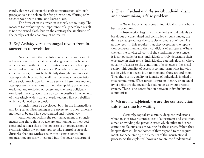ganda, that we will open the path to insurrection, although propaganda has a role in clarifying how to act. Waiting only teaches waiting; in acting one learns to act.

The force of an insurrection is social, not military. The measure for evaluating the importance of a generalized revolt is not the armed clash, but on the contrary the amplitude of the paralysis of the economy, of normality.

#### **2.** *Self-Activity* **versus managed revolt: from insurrection to revolution**

As anarchists, the revolution is our constant point of reference, no matter what we are doing or what problem we are concerned with. But the revolution is not a myth simply to be used as a point of reference. Precisely because it is a concrete event, it must be built daily through more modest attempts which do not have all the liberating characteristics of the social revolution in the true sense. These more modest attempts are insurrections. In them the uprising of the most exploited and excluded of society and the most politically sensitized minority opens the way to the possible involvement of increasingly wider strata of exploited on a flux of rebellion which could lead to revolution.

Struggles must be developed, both in the intermediate and long term. Clear strategies are necessary to allow different methods to be used in a coordinated and fruitful way.

Autonomous action: the self-management of struggle means that those that struggle are autonomous in their decisions and actions; this is the opposite of an organization of synthesis which always attempts to take control of struggle. Struggles that are synthesized within a single controlling organization are easily integrated into the power structure of

#### **7.** *The individual and the social***: individualism and communism, a false problem**

– We embrace what is best in individualism and what is best in communism.

– Insurrection begins with the desire of individuals to break out of constrained and controlled circumstances, the desire to reappropriate the capacity to create one's own life as one sees fit. This requires that they overcome the separation between them and their conditions of existence. Where the few, the privileged, control the conditions of existence, it is not possible for most individuals to truly determine their existence on their terms. Individuality can only flourish where equality of access to the conditions of existence is the social reality. This equality of access is communism; what individuals do with that access is up to them and those around them. Thus there is no equality or identity of individuals implied in true communism. What forces us into an identity or an equality of being are the social roles laid upon us by our present system. There is no contradiction between individuality and communism.

## **8.** *We are the exploited***, we are the contradiction: this is no time for waiting**

– Certainly, capitalism contains deep contradictions which push it towards procedures of adjustment and evolution aimed at avoiding the periodic crises which afflict it; but we cannot cradle ourselves in waiting for these crises. When they happen they will be welcomed if they respond to the requirements for accelerating the elements of the insurrectional process. As the exploited, however, we are the fundamental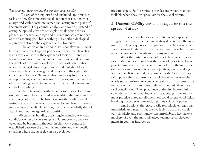*The anarchist minority and the exploited and excluded*:

– We are of the exploited and excluded, and thus our task is to act. Yet some critique all action that is not part of a large and visible social movement as "acting in the place of the proletariat." They counsel analysis and waiting, instead of acting. Supposedly, we are not exploited alongside the exploited; our desires, our rage and our weaknesses are not part of the class struggle. This is nothing but another ideological separation between the exploited and subversives.

– The active anarchist minority is not slave to numbers but continues to act against power even when the class clash is at a low level within the exploited of society. Anarchist action should not therefore aim at organizing and defending the whole of the class of exploited in one vast organization to see the struggle from beginning to end, but should identify single aspects of the struggle and carry them through to their conclusion of attack. We must also move away from the stereotypical images of the great mass struggles, and the concept of the infinite growth of a movement that is to dominate and control everything.

– The relationship with the multitude of exploited and excluded cannot be structured as something that must endure the passage of time, i.e. be based on growth to infinity and resistance against the attack of the exploiters. It must have a more reduced specific dimension, one that is decidedly that of attack and not a rearguard relationship.

We can start building our struggle in such a way that conditions of revolt can emerge and latent conflict can develop and be brought to the fore. In this way a contact is established between the anarchist minority and the specific situation where the struggle can be developed.

present society. Self-organized struggles are by nature uncontrollable when they are spread across the social terrain.

#### **3.** *Uncontrollability* **versus managed revolt: the spread of attack**

It is never possible to see the outcome of a specific struggle in advance. Even a limited struggle can have the most unexpected consequences. The passage from the various insurrections — limited and circumscribed — to revolution can never be guaranteed in advance by any method.

What the system is afraid of is not these acts of sabotage in themselves, so much as their spreading socially. Every proletarianized individual who disposes of even the most modest means can draw up his or her objectives, alone or along with others. It is materially impossible for the State and capital to police the apparatus of control that operates over the whole social territory. Anyone who really wants to contest the network of control can make their own theoretical and practical contribution. The appearance of the first broken links coincides with the spreading of acts of sabotage. The anonymous practice of social self-liberation could spread to all fields, breaking the codes of prevention put into place by power.

Small actions, therefore, easily reproducible, requiring unsophisticated means that are available to all, are by their very simplicity and spontaneity uncontrollable. They make a mockery of even the most advanced technological developments in counter-insurgency.